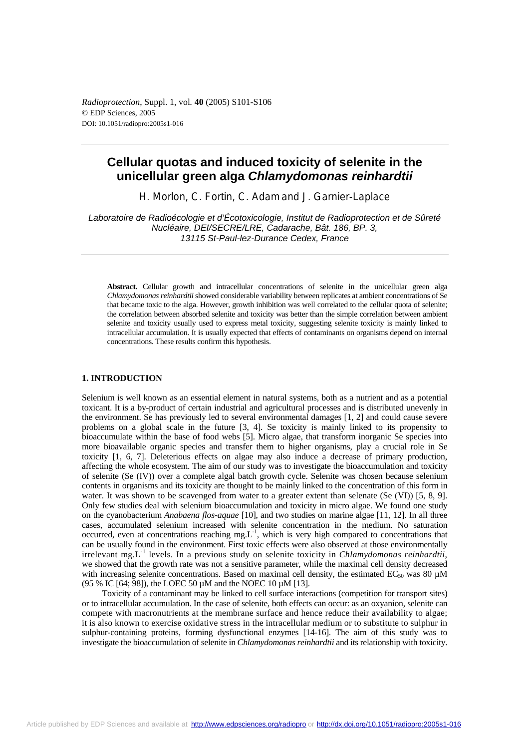*Radioprotection*, Suppl. 1, vol*.* **40** (2005) S101-S106 © EDP Sciences, 2005 DOI: 10.1051/radiopro:2005s1-016

# **Cellular quotas and induced toxicity of selenite in the unicellular green alga** *Chlamydomonas reinhardtii*

H. Morlon, C. Fortin, C. Adam and J. Garnier-Laplace

*Laboratoire de Radioécologie et d'Écotoxicologie, Institut de Radioprotection et de Sûreté Nucléaire, DEI/SECRE/LRE, Cadarache, Bât. 186, BP. 3, 13115 St-Paul-lez-Durance Cedex, France* 

**Abstract.** Cellular growth and intracellular concentrations of selenite in the unicellular green alga *Chlamydomonas reinhardtii* showed considerable variability between replicates at ambient concentrations of Se that became toxic to the alga. However, growth inhibition was well correlated to the cellular quota of selenite; the correlation between absorbed selenite and toxicity was better than the simple correlation between ambient selenite and toxicity usually used to express metal toxicity, suggesting selenite toxicity is mainly linked to intracellular accumulation. It is usually expected that effects of contaminants on organisms depend on internal concentrations. These results confirm this hypothesis.

## **1. INTRODUCTION**

Selenium is well known as an essential element in natural systems, both as a nutrient and as a potential toxicant. It is a by-product of certain industrial and agricultural processes and is distributed unevenly in the environment. Se has previously led to several environmental damages [1, 2] and could cause severe problems on a global scale in the future [3, 4]. Se toxicity is mainly linked to its propensity to bioaccumulate within the base of food webs [5]. Micro algae, that transform inorganic Se species into more bioavailable organic species and transfer them to higher organisms, play a crucial role in Se toxicity [1, 6, 7]. Deleterious effects on algae may also induce a decrease of primary production, affecting the whole ecosystem. The aim of our study was to investigate the bioaccumulation and toxicity of selenite (Se (IV)) over a complete algal batch growth cycle. Selenite was chosen because selenium contents in organisms and its toxicity are thought to be mainly linked to the concentration of this form in water. It was shown to be scavenged from water to a greater extent than selenate (Se (VI)) [5, 8, 9]. Only few studies deal with selenium bioaccumulation and toxicity in micro algae. We found one study on the cyanobacterium *Anabaena flos-aquae* [10], and two studies on marine algae [11, 12]. In all three cases, accumulated selenium increased with selenite concentration in the medium. No saturation occurred, even at concentrations reaching mg. $L^{-1}$ , which is very high compared to concentrations that can be usually found in the environment. First toxic effects were also observed at those environmentally irrelevant mg.L<sup>-1</sup> levels. In a previous study on selenite toxicity in *Chlamydomonas reinhardtii*, we showed that the growth rate was not a sensitive parameter, while the maximal cell density decreased with increasing selenite concentrations. Based on maximal cell density, the estimated  $EC_{50}$  was 80  $\mu$ M (95 % IC [64; 98]), the LOEC 50 µM and the NOEC 10 µM [13].

Toxicity of a contaminant may be linked to cell surface interactions (competition for transport sites) or to intracellular accumulation. In the case of selenite, both effects can occur: as an oxyanion, selenite can compete with macronutrients at the membrane surface and hence reduce their availability to algae; it is also known to exercise oxidative stress in the intracellular medium or to substitute to sulphur in sulphur-containing proteins, forming dysfunctional enzymes [14-16]. The aim of this study was to investigate the bioaccumulation of selenite in *Chlamydomonas reinhardtii* and its relationship with toxicity.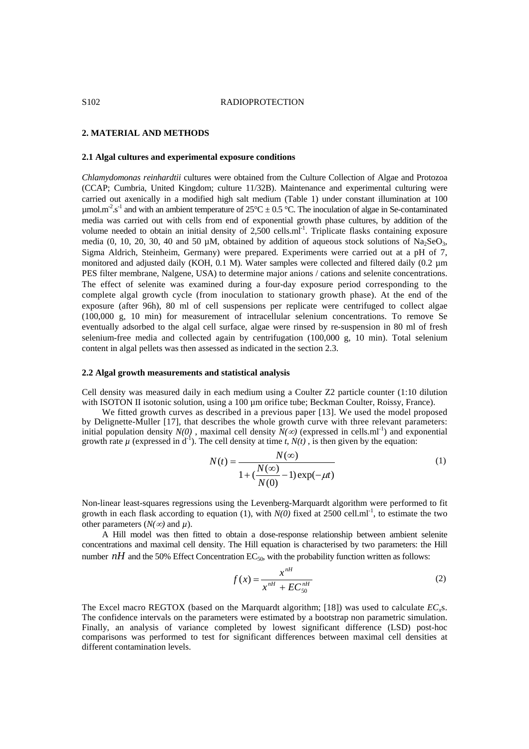# **2. MATERIAL AND METHODS**

#### **2.1 Algal cultures and experimental exposure conditions**

*Chlamydomonas reinhardtii* cultures were obtained from the Culture Collection of Algae and Protozoa (CCAP; Cumbria, United Kingdom; culture 11/32B). Maintenance and experimental culturing were carried out axenically in a modified high salt medium (Table 1) under constant illumination at 100  $\mu$ mol.m<sup>-2</sup>.s<sup>-1</sup> and with an ambient temperature of 25°C  $\pm$  0.5 °C. The inoculation of algae in Se-contaminated media was carried out with cells from end of exponential growth phase cultures, by addition of the volume needed to obtain an initial density of  $2,500$  cells.ml<sup>-1</sup>. Triplicate flasks containing exposure media (0, 10, 20, 30, 40 and 50  $\mu$ M, obtained by addition of aqueous stock solutions of Na<sub>2</sub>SeO<sub>3</sub>, Sigma Aldrich, Steinheim, Germany) were prepared. Experiments were carried out at a pH of 7, monitored and adjusted daily (KOH, 0.1 M). Water samples were collected and filtered daily (0.2 µm PES filter membrane, Nalgene, USA) to determine major anions / cations and selenite concentrations. The effect of selenite was examined during a four-day exposure period corresponding to the complete algal growth cycle (from inoculation to stationary growth phase). At the end of the exposure (after 96h), 80 ml of cell suspensions per replicate were centrifuged to collect algae (100,000 g, 10 min) for measurement of intracellular selenium concentrations. To remove Se eventually adsorbed to the algal cell surface, algae were rinsed by re-suspension in 80 ml of fresh selenium-free media and collected again by centrifugation (100,000 g, 10 min). Total selenium content in algal pellets was then assessed as indicated in the section 2.3.

#### **2.2 Algal growth measurements and statistical analysis**

Cell density was measured daily in each medium using a Coulter Z2 particle counter (1:10 dilution with ISOTON II isotonic solution, using a 100 µm orifice tube; Beckman Coulter, Roissy, France).

We fitted growth curves as described in a previous paper [13]. We used the model proposed by Delignette-Muller [17], that describes the whole growth curve with three relevant parameters: initial population density  $N(0)$ , maximal cell density  $N(\infty)$  (expressed in cells.ml<sup>-1</sup>) and exponential growth rate  $\mu$  (expressed in  $d^{-1}$ ). The cell density at time *t*,  $N(t)$ , is then given by the equation:

$$
N(t) = \frac{N(\infty)}{1 + (\frac{N(\infty)}{N(0)} - 1)\exp(-\mu t)}
$$
(1)

Non-linear least-squares regressions using the Levenberg-Marquardt algorithm were performed to fit growth in each flask according to equation (1), with  $N(0)$  fixed at 2500 cell.ml<sup>-1</sup>, to estimate the two other parameters  $(N(\infty)$  and  $\mu)$ .

A Hill model was then fitted to obtain a dose-response relationship between ambient selenite concentrations and maximal cell density. The Hill equation is characterised by two parameters: the Hill number *nH* and the 50% Effect Concentration  $EC_{50}$ , with the probability function written as follows:

$$
f(x) = \frac{x^{nH}}{x^{nH} + EC_{50}^{nH}}
$$
 (2)

The Excel macro REGTOX (based on the Marquardt algorithm; [18]) was used to calculate *ECx*s. The confidence intervals on the parameters were estimated by a bootstrap non parametric simulation. Finally, an analysis of variance completed by lowest significant difference (LSD) post-hoc comparisons was performed to test for significant differences between maximal cell densities at different contamination levels.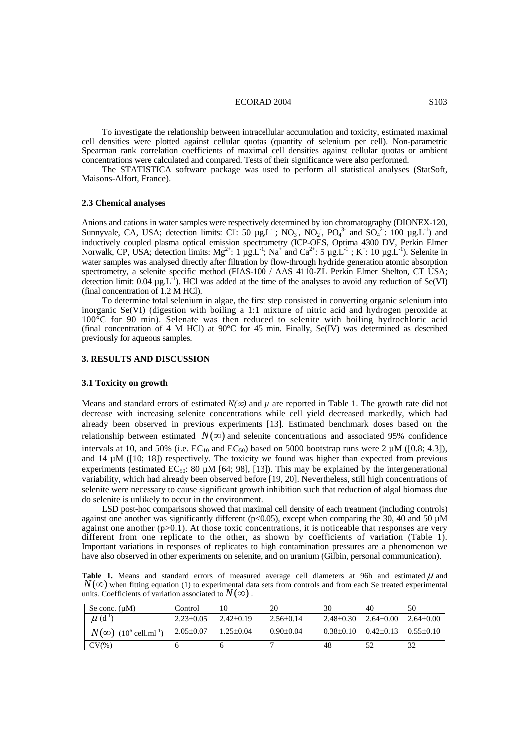#### ECORAD 2004 S103

To investigate the relationship between intracellular accumulation and toxicity, estimated maximal cell densities were plotted against cellular quotas (quantity of selenium per cell). Non-parametric Spearman rank correlation coefficients of maximal cell densities against cellular quotas or ambient concentrations were calculated and compared. Tests of their significance were also performed.

The STATISTICA software package was used to perform all statistical analyses (StatSoft, Maisons-Alfort, France).

#### **2.3 Chemical analyses**

Anions and cations in water samples were respectively determined by ion chromatography (DIONEX-120, Sunnyvale, CA, USA; detection limits: CI: 50  $\mu g \dot{L}^{-1}$ ; NO<sub>3</sub>, NO<sub>2</sub>, PO<sub>4</sub><sup>3</sup> and SO<sub>4</sub><sup>2</sup>: 100  $\mu g L^{-1}$ ) and inductively coupled plasma optical emission spectrometry (ICP-OES, Optima 4300 DV, Perkin Elmer Norwalk, CP, USA; detection limits:  $Mg^{2+}$ : 1  $\mu g_{\mu}L^{-1}$ ; Na<sup>+</sup> and Ca<sup>2+</sup>: 5  $\mu g_{\mu}L^{-1}$ ; K<sup>+</sup>: 10  $\mu g_{\mu}L^{-1}$ ). Selenite in water samples was analysed directly after filtration by flow-through hydride generation atomic absorption spectrometry, a selenite specific method (FIAS-100 / AAS 4110-ZL Perkin Elmer Shelton, CT USA; detection limit:  $0.04 \mu g.L^{-1}$ ). HCl was added at the time of the analyses to avoid any reduction of Se(VI) (final concentration of 1.2 M HCl).

To determine total selenium in algae, the first step consisted in converting organic selenium into inorganic Se(VI) (digestion with boiling a 1:1 mixture of nitric acid and hydrogen peroxide at  $100^{\circ}$ C for 90 min). Selenate was then reduced to selenite with boiling hydrochloric acid (final concentration of 4 M HCl) at 90°C for 45 min. Finally, Se(IV) was determined as described previously for aqueous samples.

# **3. RESULTS AND DISCUSSION**

#### **3.1 Toxicity on growth**

Means and standard errors of estimated  $N(\infty)$  and  $\mu$  are reported in Table 1. The growth rate did not decrease with increasing selenite concentrations while cell yield decreased markedly, which had already been observed in previous experiments [13]. Estimated benchmark doses based on the relationship between estimated  $N(\infty)$  and selenite concentrations and associated 95% confidence intervals at 10, and 50% (i.e.  $EC_{10}$  and  $EC_{50}$ ) based on 5000 bootstrap runs were 2  $\mu$ M ([0.8; 4.3]), and 14  $\mu$ M ([10; 18]) respectively. The toxicity we found was higher than expected from previous experiments (estimated  $EC_{50}$ : 80 µM [64; 98], [13]). This may be explained by the intergenerational variability, which had already been observed before [19, 20]. Nevertheless, still high concentrations of selenite were necessary to cause significant growth inhibition such that reduction of algal biomass due do selenite is unlikely to occur in the environment.

LSD post-hoc comparisons showed that maximal cell density of each treatment (including controls) against one another was significantly different ( $p<0.05$ ), except when comparing the 30, 40 and 50  $\mu$ M against one another  $(p>0.1)$ . At those toxic concentrations, it is noticeable that responses are very different from one replicate to the other, as shown by coefficients of variation (Table 1). Important variations in responses of replicates to high contamination pressures are a phenomenon we have also observed in other experiments on selenite, and on uranium (Gilbin, personal communication).

**Table 1.** Means and standard errors of measured average cell diameters at 96h and estimated  $\mu$  and  $N(\infty)$  when fitting equation (1) to experimental data sets from controls and from each Se treated experimental units. Coefficients of variation associated to  $N(\infty)$ .

| Se conc. $(\mu M)$                                   | Control         | 10            | 20              | 30              | 40              | 50              |
|------------------------------------------------------|-----------------|---------------|-----------------|-----------------|-----------------|-----------------|
| $\mu$ (d <sup>-1</sup> )                             | $2.23 \pm 0.05$ | $2.42\pm0.19$ | $2.56 \pm 0.14$ | $2.48 \pm 0.30$ | $2.64 \pm 0.00$ | $2.64\pm0.00$   |
| $N(\infty)$ (10 <sup>6</sup> cell.ml <sup>-1</sup> ) | $2.05 \pm 0.07$ | $25 \pm 0.04$ | $0.90 \pm 0.04$ | $0.38 \pm 0.10$ | $0.42\pm0.13$   | $0.55 \pm 0.10$ |
| $CV(\%)$                                             |                 | n             |                 | 48              | 52              | 32              |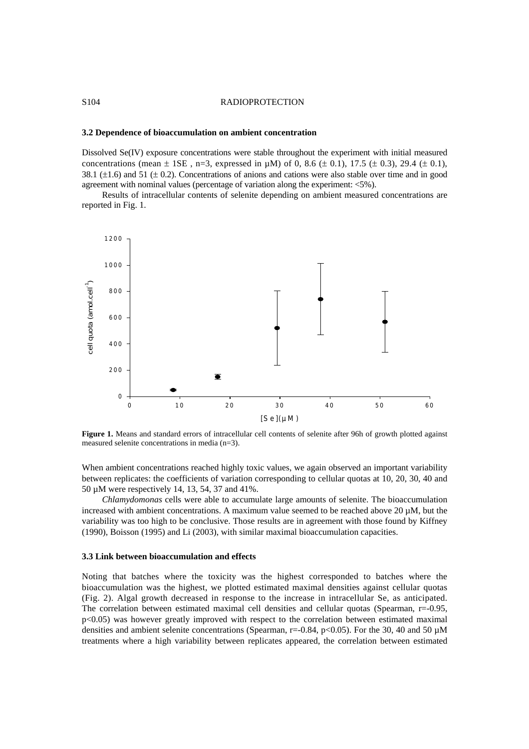## S<sub>104</sub> RADIOPROTECTION

## **3.2 Dependence of bioaccumulation on ambient concentration**

Dissolved Se(IV) exposure concentrations were stable throughout the experiment with initial measured concentrations (mean  $\pm$  1SE, n=3, expressed in  $\mu$ M) of 0, 8.6 ( $\pm$  0.1), 17.5 ( $\pm$  0.3), 29.4 ( $\pm$  0.1), 38.1 ( $\pm$ 1.6) and 51 ( $\pm$  0.2). Concentrations of anions and cations were also stable over time and in good agreement with nominal values (percentage of variation along the experiment:  $\langle 5\% \rangle$ ).

Results of intracellular contents of selenite depending on ambient measured concentrations are reported in Fig. 1.



**Figure 1.** Means and standard errors of intracellular cell contents of selenite after 96h of growth plotted against measured selenite concentrations in media (n=3).

When ambient concentrations reached highly toxic values, we again observed an important variability between replicates: the coefficients of variation corresponding to cellular quotas at 10, 20, 30, 40 and 50 µM were respectively 14, 13, 54, 37 and 41%.

*Chlamydomonas* cells were able to accumulate large amounts of selenite. The bioaccumulation increased with ambient concentrations. A maximum value seemed to be reached above 20 µM, but the variability was too high to be conclusive. Those results are in agreement with those found by Kiffney (1990), Boisson (1995) and Li (2003), with similar maximal bioaccumulation capacities.

#### **3.3 Link between bioaccumulation and effects**

Noting that batches where the toxicity was the highest corresponded to batches where the bioaccumulation was the highest, we plotted estimated maximal densities against cellular quotas (Fig. 2). Algal growth decreased in response to the increase in intracellular Se, as anticipated. The correlation between estimated maximal cell densities and cellular quotas (Spearman, r=-0.95,  $p<0.05$ ) was however greatly improved with respect to the correlation between estimated maximal densities and ambient selenite concentrations (Spearman, r=-0.84, p<0.05). For the 30, 40 and 50  $\mu$ M treatments where a high variability between replicates appeared, the correlation between estimated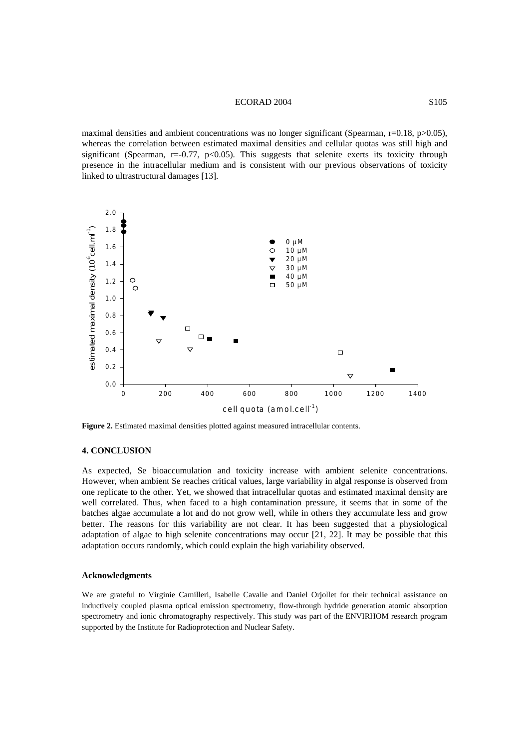## ECORAD 2004 S105

maximal densities and ambient concentrations was no longer significant (Spearman, r=0.18, p>0.05), whereas the correlation between estimated maximal densities and cellular quotas was still high and significant (Spearman,  $r=-0.77$ ,  $p<0.05$ ). This suggests that selenite exerts its toxicity through presence in the intracellular medium and is consistent with our previous observations of toxicity linked to ultrastructural damages [13].



**Figure 2.** Estimated maximal densities plotted against measured intracellular contents.

## **4. CONCLUSION**

As expected, Se bioaccumulation and toxicity increase with ambient selenite concentrations. However, when ambient Se reaches critical values, large variability in algal response is observed from one replicate to the other. Yet, we showed that intracellular quotas and estimated maximal density are well correlated. Thus, when faced to a high contamination pressure, it seems that in some of the batches algae accumulate a lot and do not grow well, while in others they accumulate less and grow better. The reasons for this variability are not clear. It has been suggested that a physiological adaptation of algae to high selenite concentrations may occur [21, 22]. It may be possible that this adaptation occurs randomly, which could explain the high variability observed.

#### **Acknowledgments**

We are grateful to Virginie Camilleri, Isabelle Cavalie and Daniel Orjollet for their technical assistance on inductively coupled plasma optical emission spectrometry, flow-through hydride generation atomic absorption spectrometry and ionic chromatography respectively. This study was part of the ENVIRHOM research program supported by the Institute for Radioprotection and Nuclear Safety.